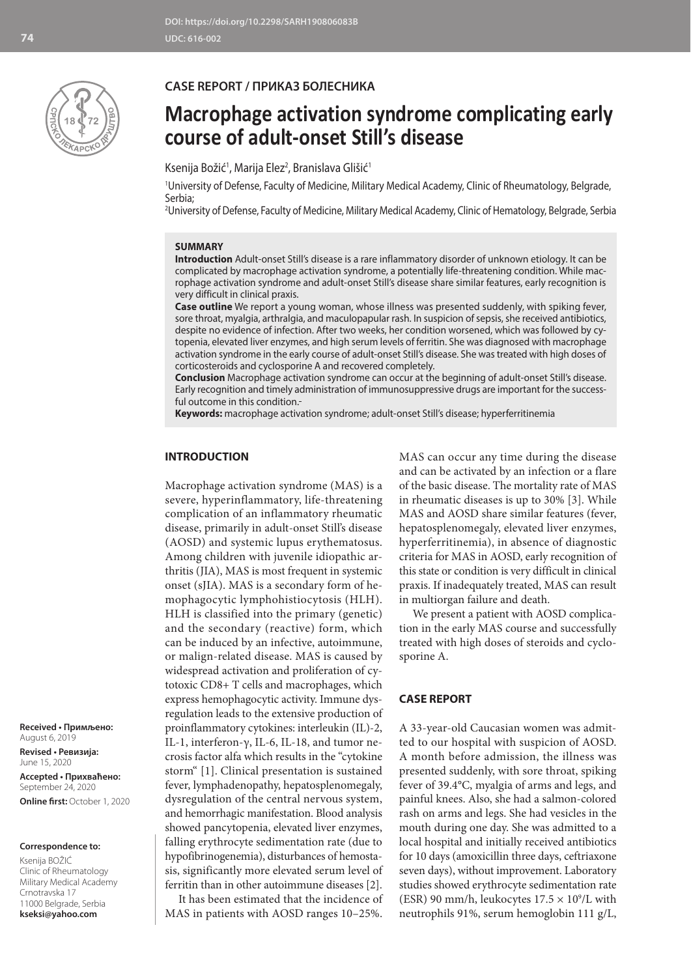

## **CASE REPORT / ПРИКАЗ БОЛЕСНИКА**

# **Macrophage activation syndrome complicating early course of adult-onset Still's disease**

Ksenija Božić<sup>1</sup>, Marija Elez<sup>2</sup>, Branislava Glišić<sup>1</sup>

1 University of Defense, Faculty of Medicine, Military Medical Academy, Clinic of Rheumatology, Belgrade, Serbia;

2 University of Defense, Faculty of Medicine, Military Medical Academy, Clinic of Hematology, Belgrade, Serbia

## **SUMMARY**

**Introduction** Adult-onset Still's disease is a rare inflammatory disorder of unknown etiology. It can be complicated by macrophage activation syndrome, a potentially life-threatening condition. While macrophage activation syndrome and adult-onset Still's disease share similar features, early recognition is very difficult in clinical praxis.

**Case outline** We report a young woman, whose illness was presented suddenly, with spiking fever, sore throat, myalgia, arthralgia, and maculopapular rash. In suspicion of sepsis, she received antibiotics, despite no evidence of infection. After two weeks, her condition worsened, which was followed by cytopenia, elevated liver enzymes, and high serum levels of ferritin. She was diagnosed with macrophage activation syndrome in the early course of adult-onset Still's disease. She was treated with high doses of corticosteroids and cyclosporine A and recovered completely.

**Conclusion** Macrophage activation syndrome can occur at the beginning of adult-onset Still's disease. Early recognition and timely administration of immunosuppressive drugs are important for the successful outcome in this condition.

**Keywords:** macrophage activation syndrome; adult-onset Still's disease; hyperferritinemia

## **INTRODUCTION**

Macrophage activation syndrome (MAS) is a severe, hyperinflammatory, life-threatening complication of an inflammatory rheumatic disease, primarily in adult-onset Still's disease (AOSD) and systemic lupus erythematosus. Among children with juvenile idiopathic arthritis (JIA), MAS is most frequent in systemic onset (sJIA). MAS is a secondary form of hemophagocytic lymphohistiocytosis (HLH). HLH is classified into the primary (genetic) and the secondary (reactive) form, which can be induced by an infective, autoimmune, or malign-related disease. MAS is caused by widespread activation and proliferation of cytotoxic CD8+ T cells and macrophages, which express hemophagocytic activity. Immune dysregulation leads to the extensive production of proinflammatory cytokines: interleukin (IL)-2, IL-1, interferon-γ, IL-6, IL-18, and tumor necrosis factor alfa which results in the "cytokine storm" [1]. Clinical presentation is sustained fever, lymphadenopathy, hepatosplenomegaly, dysregulation of the central nervous system, and hemorrhagic manifestation. Blood analysis showed pancytopenia, elevated liver enzymes, falling erythrocyte sedimentation rate (due to hypofibrinogenemia), disturbances of hemostasis, significantly more elevated serum level of ferritin than in other autoimmune diseases [2].

It has been estimated that the incidence of MAS in patients with AOSD ranges 10–25%.

MAS can occur any time during the disease and can be activated by an infection or a flare of the basic disease. The mortality rate of MAS in rheumatic diseases is up to 30% [3]. While MAS and AOSD share similar features (fever, hepatosplenomegaly, elevated liver enzymes, hyperferritinemia), in absence of diagnostic criteria for MAS in AOSD, early recognition of this state or condition is very difficult in clinical praxis. If inadequately treated, MAS can result in multiorgan failure and death.

We present a patient with AOSD complication in the early MAS course and successfully treated with high doses of steroids and cyclosporine A.

## **CASE REPORT**

A 33-year-old Caucasian women was admitted to our hospital with suspicion of AOSD. A month before admission, the illness was presented suddenly, with sore throat, spiking fever of 39.4°C, myalgia of arms and legs, and painful knees. Also, she had a salmon-colored rash on arms and legs. She had vesicles in the mouth during one day. She was admitted to a local hospital and initially received antibiotics for 10 days (amoxicillin three days, ceftriaxone seven days), without improvement. Laboratory studies showed erythrocyte sedimentation rate (ESR) 90 mm/h, leukocytes  $17.5 \times 10^9$ /L with neutrophils 91%, serum hemoglobin 111 g/L,

**Received • Примљено:**  August 6, 2019

**Revised • Ревизија:**  June 15, 2020 **Accepted • Прихваћено:** September 24, 2020 **Online first:** October 1, 2020

#### **Correspondence to:**

Ksenija BOŽIĆ Clinic of Rheumatology Military Medical Academy Crnotravska 17 11000 Belgrade, Serbia **kseksi@yahoo.com**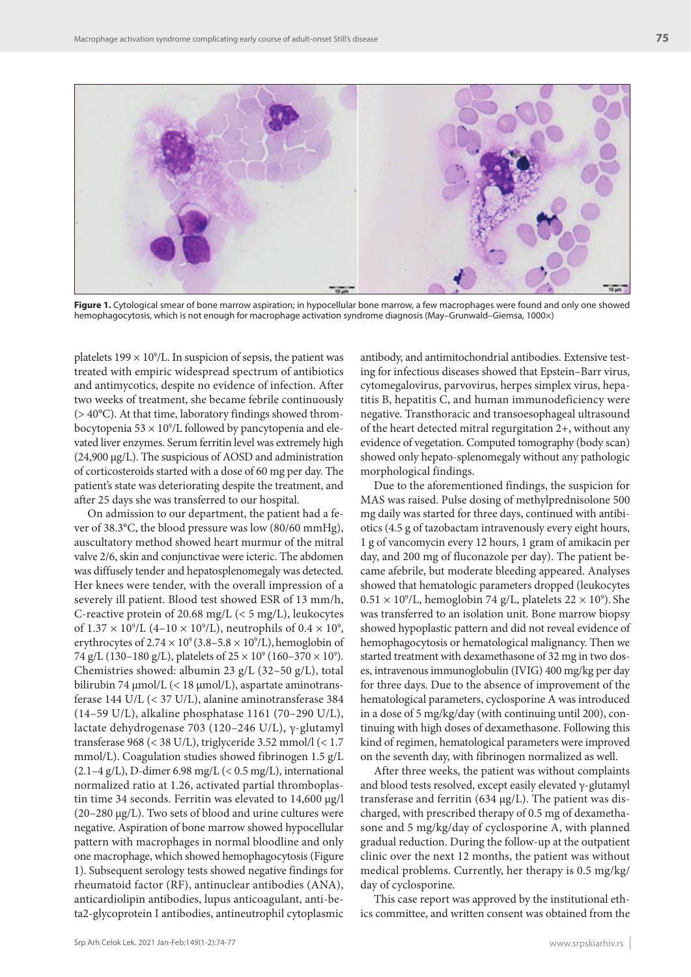

Figure 1. Cytological smear of bone marrow aspiration; in hypocellular bone marrow, a few macrophages were found and only one showed hemophagocytosis, which is not enough for macrophage activation syndrome diagnosis (May–Grunwald–Giemsa, 1000×)

platelets  $199 \times 10^9$ /L. In suspicion of sepsis, the patient was treated with empiric widespread spectrum of antibiotics and antimycotics, despite no evidence of infection. After two weeks of treatment, she became febrile continuously (> 40°C). At that time, laboratory findings showed thrombocytopenia 53  $\times$  10°/L followed by pancytopenia and elevated liver enzymes. Serum ferritin level was extremely high (24,900 μg/L). The suspicious of AOSD and administration of corticosteroids started with a dose of 60 mg per day. The patient's state was deteriorating despite the treatment, and after 25 days she was transferred to our hospital.

On admission to our department, the patient had a fever of 38.3°C, the blood pressure was low (80/60 mmHg), auscultatory method showed heart murmur of the mitral valve 2/6, skin and conjunctivae were icteric. The abdomen was diffusely tender and hepatosplenomegaly was detected. Her knees were tender, with the overall impression of a severely ill patient. Blood test showed ESR of 13 mm/h, C-reactive protein of 20.68 mg/L (< 5 mg/L), leukocytes of  $1.37 \times 10^9$ /L (4–10  $\times 10^9$ /L), neutrophils of 0.4  $\times 10^9$ , erythrocytes of 2.74  $\times$  10°(3.8–5.8  $\times$  10°/L), hemoglobin of 74 g/L (130–180 g/L), platelets of  $25 \times 10^9$  (160–370  $\times 10^9$ ). Chemistries showed: albumin 23 g/L (32–50 g/L), total bilirubin 74 μmol/L (< 18 μmol/L), aspartate aminotransferase 144 U/L (< 37 U/L), alanine aminotransferase 384 (14–59 U/L), alkaline phosphatase 1161 (70–290 U/L), lactate dehydrogenase 703 (120–246 U/L), γ-glutamyl transferase 968 (< 38 U/L), triglyceride 3.52 mmol/l (< 1.7 mmol/L). Coagulation studies showed fibrinogen 1.5 g/L  $(2.1-4 \text{ g/L})$ , D-dimer 6.98 mg/L  $(< 0.5 \text{ mg/L})$ , international normalized ratio at 1.26, activated partial thromboplastin time 34 seconds. Ferritin was elevated to 14,600 μg/l (20–280 μg/L). Two sets of blood and urine cultures were negative. Aspiration of bone marrow showed hypocellular pattern with macrophages in normal bloodline and only one macrophage, which showed hemophagocytosis (Figure 1). Subsequent serology tests showed negative findings for rheumatoid factor (RF), antinuclear antibodies (ANA), anticardiolipin antibodies, lupus anticoagulant, anti-beta2-glycoprotein I antibodies, antineutrophil cytoplasmic

antibody, and antimitochondrial antibodies. Extensive testing for infectious diseases showed that Epstein–Barr virus, cytomegalovirus, parvovirus, herpes simplex virus, hepatitis B, hepatitis C, and human immunodeficiency were negative. Transthoracic and transoesophageal ultrasound of the heart detected mitral regurgitation 2+, without any evidence of vegetation. Computed tomography (body scan) showed only hepato-splenomegaly without any pathologic morphological findings.

Due to the aforementioned findings, the suspicion for MAS was raised. Pulse dosing of methylprednisolone 500 mg daily was started for three days, continued with antibiotics (4.5 g of tazobactam intravenously every eight hours, 1 g of vancomycin every 12 hours, 1 gram of amikacin per day, and 200 mg of fluconazole per day). The patient became afebrile, but moderate bleeding appeared. Analyses showed that hematologic parameters dropped (leukocytes  $0.51 \times 10^9$ /L, hemoglobin 74 g/L, platelets 22  $\times$  10<sup>9</sup>). She was transferred to an isolation unit. Bone marrow biopsy showed hypoplastic pattern and did not reveal evidence of hemophagocytosis or hematological malignancy. Then we started treatment with dexamethasone of 32 mg in two doses, intravenous immunoglobulin (IVIG) 400 mg/kg per day for three days. Due to the absence of improvement of the hematological parameters, cyclosporine A was introduced in a dose of 5 mg/kg/day (with continuing until 200), continuing with high doses of dexamethasone. Following this kind of regimen, hematological parameters were improved on the seventh day, with fibrinogen normalized as well.

After three weeks, the patient was without complaints and blood tests resolved, except easily elevated  $\gamma$ -glutamyl transferase and ferritin (634 μg/L). The patient was discharged, with prescribed therapy of 0.5 mg of dexamethasone and 5 mg/kg/day of cyclosporine A, with planned gradual reduction. During the follow-up at the outpatient clinic over the next 12 months, the patient was without medical problems. Currently, her therapy is 0.5 mg/kg/ day of cyclosporine.

This case report was approved by the institutional ethics committee, and written consent was obtained from the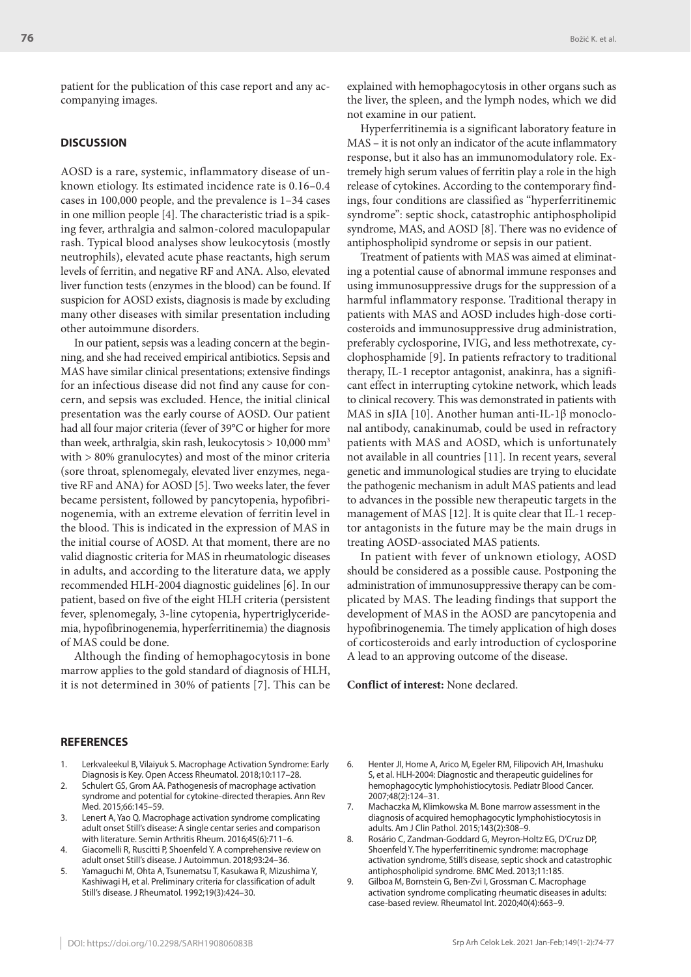patient for the publication of this case report and any accompanying images.

## **DISCUSSION**

AOSD is a rare, systemic, inflammatory disease of unknown etiology. Its estimated incidence rate is 0.16–0.4 cases in 100,000 people, and the prevalence is 1–34 cases in one million people [4]. The characteristic triad is a spiking fever, arthralgia and salmon-colored maculopapular rash. Typical blood analyses show leukocytosis (mostly neutrophils), elevated acute phase reactants, high serum levels of ferritin, and negative RF and ANA. Also, elevated liver function tests (enzymes in the blood) can be found. If suspicion for AOSD exists, diagnosis is made by excluding many other diseases with similar presentation including other autoimmune disorders.

In our patient, sepsis was a leading concern at the beginning, and she had received empirical antibiotics. Sepsis and MAS have similar clinical presentations; extensive findings for an infectious disease did not find any cause for concern, and sepsis was excluded. Hence, the initial clinical presentation was the early course of AOSD. Our patient had all four major criteria (fever of 39°C or higher for more than week, arthralgia, skin rash, leukocytosis > 10,000 mm3 with > 80% granulocytes) and most of the minor criteria (sore throat, splenomegaly, elevated liver enzymes, negative RF and ANA) for AOSD [5]. Two weeks later, the fever became persistent, followed by pancytopenia, hypofibrinogenemia, with an extreme elevation of ferritin level in the blood. This is indicated in the expression of MAS in the initial course of AOSD. At that moment, there are no valid diagnostic criteria for MAS in rheumatologic diseases in adults, and according to the literature data, we apply recommended HLH-2004 diagnostic guidelines [6]. In our patient, based on five of the eight HLH criteria (persistent fever, splenomegaly, 3-line cytopenia, hypertriglyceridemia, hypofibrinogenemia, hyperferritinemia) the diagnosis of MAS could be done.

Although the finding of hemophagocytosis in bone marrow applies to the gold standard of diagnosis of HLH, it is not determined in 30% of patients [7]. This can be

explained with hemophagocytosis in other organs such as the liver, the spleen, and the lymph nodes, which we did not examine in our patient.

Hyperferritinemia is a significant laboratory feature in MAS – it is not only an indicator of the acute inflammatory response, but it also has an immunomodulatory role. Extremely high serum values of ferritin play a role in the high release of cytokines. According to the contemporary findings, four conditions are classified as "hyperferritinemic syndrome": septic shock, catastrophic antiphospholipid syndrome, MAS, and AOSD [8]. There was no evidence of antiphospholipid syndrome or sepsis in our patient.

Treatment of patients with MAS was aimed at eliminating a potential cause of abnormal immune responses and using immunosuppressive drugs for the suppression of a harmful inflammatory response. Traditional therapy in patients with MAS and AOSD includes high-dose corticosteroids and immunosuppressive drug administration, preferably cyclosporine, IVIG, and less methotrexate, cyclophosphamide [9]. In patients refractory to traditional therapy, IL-1 receptor antagonist, anakinra, has a significant effect in interrupting cytokine network, which leads to clinical recovery. This was demonstrated in patients with MAS in sJIA [10]. Another human anti-IL-1β monoclonal antibody, canakinumab, could be used in refractory patients with MAS and AOSD, which is unfortunately not available in all countries [11]. In recent years, several genetic and immunological studies are trying to elucidate the pathogenic mechanism in adult MAS patients and lead to advances in the possible new therapeutic targets in the management of MAS [12]. It is quite clear that IL-1 receptor antagonists in the future may be the main drugs in treating AOSD-associated MAS patients.

In patient with fever of unknown etiology, AOSD should be considered as a possible cause. Postponing the administration of immunosuppressive therapy can be complicated by MAS. The leading findings that support the development of MAS in the AOSD are pancytopenia and hypofibrinogenemia. The timely application of high doses of corticosteroids and early introduction of cyclosporine A lead to an approving outcome of the disease.

**Conflict of interest:** None declared.

## **REFERENCES**

- Lerkvaleekul B, Vilaiyuk S. Macrophage Activation Syndrome: Early Diagnosis is Key. Open Access Rheumatol. 2018;10:117–28.
- Schulert GS, Grom AA. Pathogenesis of macrophage activation syndrome and potential for cytokine-directed therapies. Ann Rev Med. 2015;66:145–59.
- 3. Lenert A, Yao Q. Macrophage activation syndrome complicating adult onset Still's disease: A single centar series and comparison with literature. Semin Arthritis Rheum. 2016;45(6):711–6.
- 4. Giacomelli R, Ruscitti P, Shoenfeld Y. A comprehensive review on adult onset Still's disease. J Autoimmun. 2018;93:24–36.
- 5. Yamaguchi M, Ohta A, Tsunematsu T, Kasukawa R, Mizushima Y, Kashiwagi H, et al. Preliminary criteria for classification of adult Still's disease. J Rheumatol. 1992;19(3):424–30.
- 6. Henter JI, Home A, Arico M, Egeler RM, Filipovich AH, Imashuku S, et al. HLH-2004: Diagnostic and therapeutic guidelines for hemophagocytic lymphohistiocytosis. Pediatr Blood Cancer. 2007;48(2):124–31.
- 7. Machaczka M, Klimkowska M. Bone marrow assessment in the diagnosis of acquired hemophagocytic lymphohistiocytosis in adults. Am J Clin Pathol. 2015;143(2):308–9.
- 8. Rosário C, Zandman-Goddard G, Meyron-Holtz EG, D'Cruz DP, Shoenfeld Y. The hyperferritinemic syndrome: macrophage activation syndrome, Still's disease, septic shock and catastrophic antiphospholipid syndrome. BMC Med. 2013;11:185.
- 9. Gilboa M, Bornstein G, Ben-Zvi I, Grossman C. Macrophage activation syndrome complicating rheumatic diseases in adults: case-based review. Rheumatol Int. 2020;40(4):663–9.